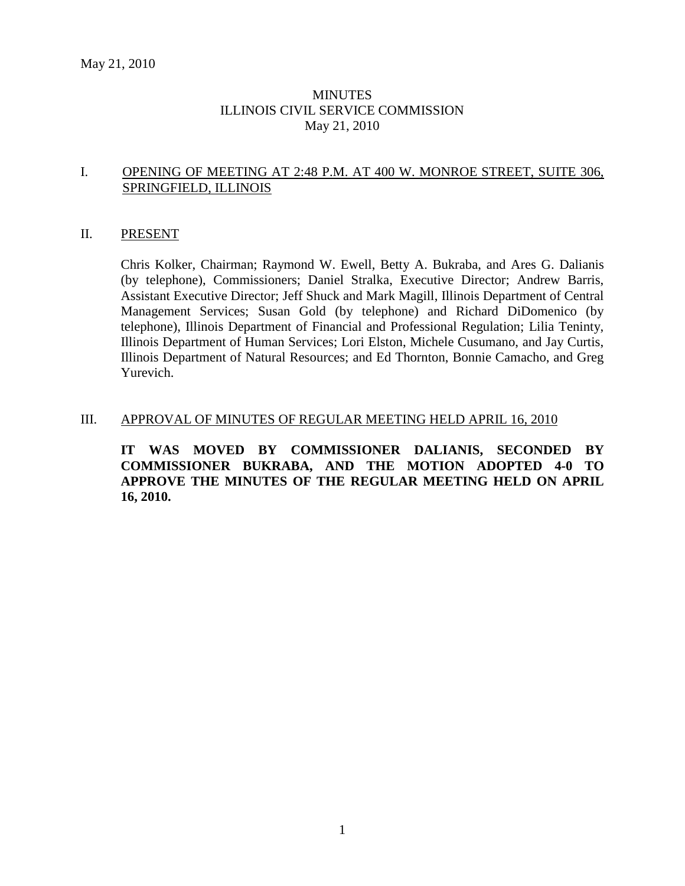### **MINUTES** ILLINOIS CIVIL SERVICE COMMISSION May 21, 2010

### I. OPENING OF MEETING AT 2:48 P.M. AT 400 W. MONROE STREET, SUITE 306, SPRINGFIELD, ILLINOIS

#### II. PRESENT

Chris Kolker, Chairman; Raymond W. Ewell, Betty A. Bukraba, and Ares G. Dalianis (by telephone), Commissioners; Daniel Stralka, Executive Director; Andrew Barris, Assistant Executive Director; Jeff Shuck and Mark Magill, Illinois Department of Central Management Services; Susan Gold (by telephone) and Richard DiDomenico (by telephone), Illinois Department of Financial and Professional Regulation; Lilia Teninty, Illinois Department of Human Services; Lori Elston, Michele Cusumano, and Jay Curtis, Illinois Department of Natural Resources; and Ed Thornton, Bonnie Camacho, and Greg Yurevich.

#### III. APPROVAL OF MINUTES OF REGULAR MEETING HELD APRIL 16, 2010

**IT WAS MOVED BY COMMISSIONER DALIANIS, SECONDED BY COMMISSIONER BUKRABA, AND THE MOTION ADOPTED 4-0 TO APPROVE THE MINUTES OF THE REGULAR MEETING HELD ON APRIL 16, 2010.**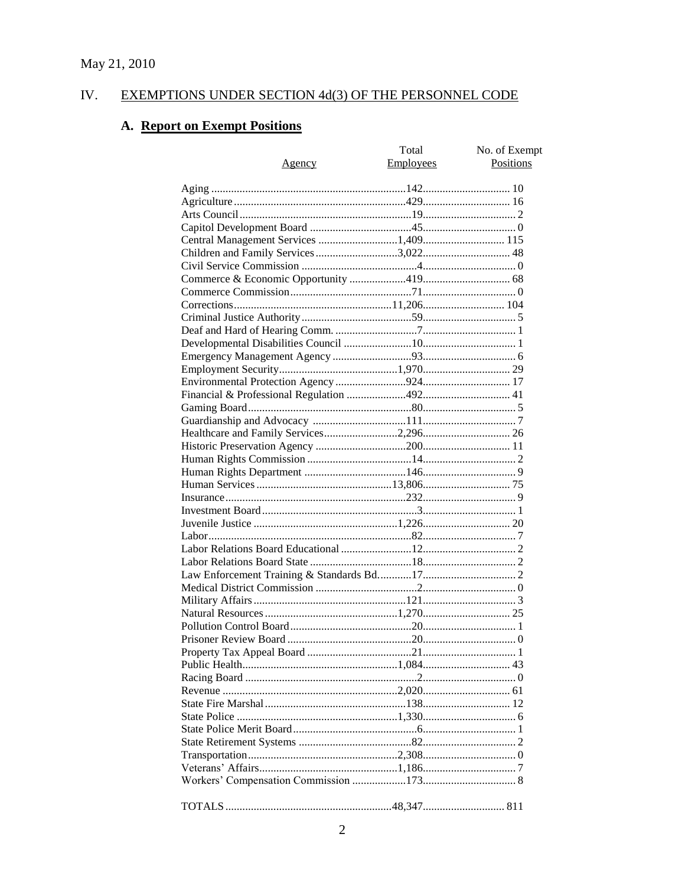#### IV. **EXEMPTIONS UNDER SECTION 4d(3) OF THE PERSONNEL CODE**

# A. Report on Exempt Positions

|                                       | Total            | No. of Exempt |
|---------------------------------------|------------------|---------------|
| Agency                                | <b>Employees</b> | Positions     |
|                                       |                  |               |
|                                       |                  |               |
|                                       |                  |               |
|                                       |                  |               |
|                                       |                  |               |
| Central Management Services 1,409 115 |                  |               |
|                                       |                  |               |
|                                       |                  |               |
|                                       |                  |               |
|                                       |                  |               |
|                                       |                  |               |
|                                       |                  |               |
|                                       |                  |               |
|                                       |                  |               |
|                                       |                  |               |
|                                       |                  |               |
|                                       |                  |               |
|                                       |                  |               |
|                                       |                  |               |
|                                       |                  |               |
|                                       |                  |               |
|                                       |                  |               |
|                                       |                  |               |
|                                       |                  |               |
|                                       |                  |               |
|                                       |                  |               |
|                                       |                  |               |
|                                       |                  |               |
|                                       |                  |               |
|                                       |                  |               |
|                                       |                  |               |
|                                       |                  |               |
|                                       |                  |               |
|                                       |                  |               |
|                                       |                  |               |
|                                       |                  |               |
|                                       |                  |               |
|                                       |                  |               |
|                                       |                  |               |
|                                       |                  |               |
|                                       |                  |               |
|                                       |                  |               |
|                                       |                  |               |
|                                       |                  |               |
|                                       |                  |               |
|                                       |                  |               |
|                                       |                  |               |
|                                       |                  |               |
|                                       |                  |               |
|                                       |                  |               |
|                                       |                  |               |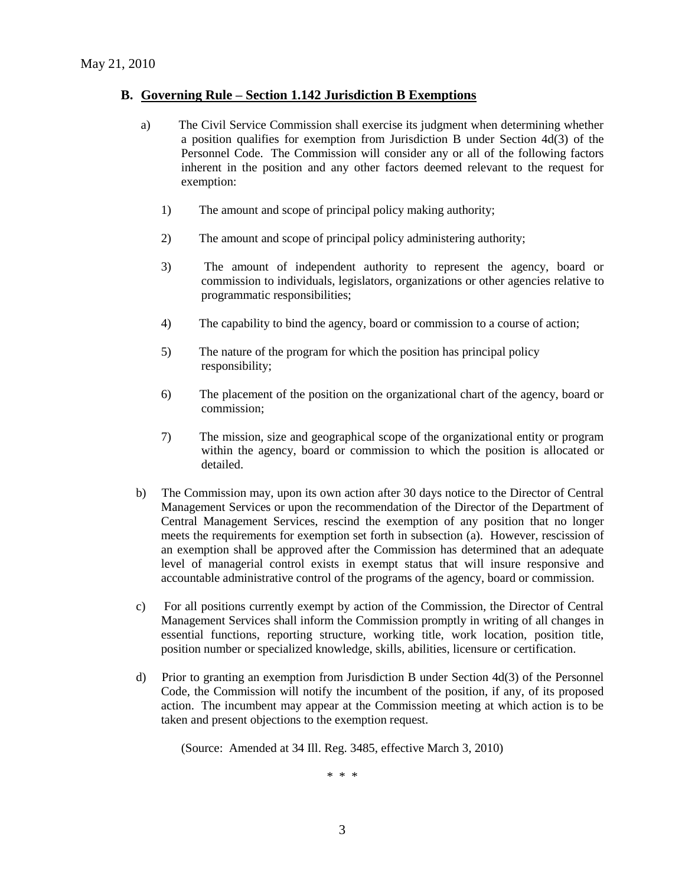#### **B. Governing Rule – Section 1.142 Jurisdiction B Exemptions**

- a) The Civil Service Commission shall exercise its judgment when determining whether a position qualifies for exemption from Jurisdiction B under Section 4d(3) of the Personnel Code. The Commission will consider any or all of the following factors inherent in the position and any other factors deemed relevant to the request for exemption:
	- 1) The amount and scope of principal policy making authority;
	- 2) The amount and scope of principal policy administering authority;
	- 3) The amount of independent authority to represent the agency, board or commission to individuals, legislators, organizations or other agencies relative to programmatic responsibilities;
	- 4) The capability to bind the agency, board or commission to a course of action;
	- 5) The nature of the program for which the position has principal policy responsibility;
	- 6) The placement of the position on the organizational chart of the agency, board or commission;
	- 7) The mission, size and geographical scope of the organizational entity or program within the agency, board or commission to which the position is allocated or detailed.
- b) The Commission may, upon its own action after 30 days notice to the Director of Central Management Services or upon the recommendation of the Director of the Department of Central Management Services, rescind the exemption of any position that no longer meets the requirements for exemption set forth in subsection (a). However, rescission of an exemption shall be approved after the Commission has determined that an adequate level of managerial control exists in exempt status that will insure responsive and accountable administrative control of the programs of the agency, board or commission.
- c) For all positions currently exempt by action of the Commission, the Director of Central Management Services shall inform the Commission promptly in writing of all changes in essential functions, reporting structure, working title, work location, position title, position number or specialized knowledge, skills, abilities, licensure or certification.
- d) Prior to granting an exemption from Jurisdiction B under Section 4d(3) of the Personnel Code, the Commission will notify the incumbent of the position, if any, of its proposed action. The incumbent may appear at the Commission meeting at which action is to be taken and present objections to the exemption request.

(Source: Amended at 34 Ill. Reg. 3485, effective March 3, 2010)

\* \* \*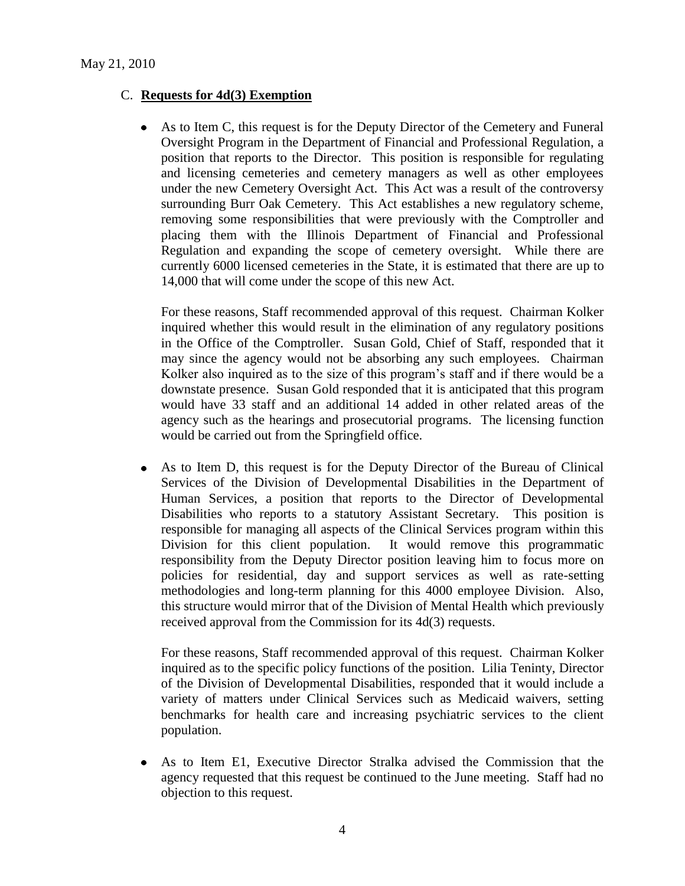### C. **Requests for 4d(3) Exemption**

As to Item C, this request is for the Deputy Director of the Cemetery and Funeral Oversight Program in the Department of Financial and Professional Regulation, a position that reports to the Director. This position is responsible for regulating and licensing cemeteries and cemetery managers as well as other employees under the new Cemetery Oversight Act. This Act was a result of the controversy surrounding Burr Oak Cemetery. This Act establishes a new regulatory scheme, removing some responsibilities that were previously with the Comptroller and placing them with the Illinois Department of Financial and Professional Regulation and expanding the scope of cemetery oversight. While there are currently 6000 licensed cemeteries in the State, it is estimated that there are up to 14,000 that will come under the scope of this new Act.

For these reasons, Staff recommended approval of this request. Chairman Kolker inquired whether this would result in the elimination of any regulatory positions in the Office of the Comptroller. Susan Gold, Chief of Staff, responded that it may since the agency would not be absorbing any such employees. Chairman Kolker also inquired as to the size of this program"s staff and if there would be a downstate presence. Susan Gold responded that it is anticipated that this program would have 33 staff and an additional 14 added in other related areas of the agency such as the hearings and prosecutorial programs. The licensing function would be carried out from the Springfield office.

As to Item D, this request is for the Deputy Director of the Bureau of Clinical Services of the Division of Developmental Disabilities in the Department of Human Services, a position that reports to the Director of Developmental Disabilities who reports to a statutory Assistant Secretary. This position is responsible for managing all aspects of the Clinical Services program within this Division for this client population. It would remove this programmatic responsibility from the Deputy Director position leaving him to focus more on policies for residential, day and support services as well as rate-setting methodologies and long-term planning for this 4000 employee Division. Also, this structure would mirror that of the Division of Mental Health which previously received approval from the Commission for its 4d(3) requests.

For these reasons, Staff recommended approval of this request. Chairman Kolker inquired as to the specific policy functions of the position. Lilia Teninty, Director of the Division of Developmental Disabilities, responded that it would include a variety of matters under Clinical Services such as Medicaid waivers, setting benchmarks for health care and increasing psychiatric services to the client population.

As to Item E1, Executive Director Stralka advised the Commission that the agency requested that this request be continued to the June meeting. Staff had no objection to this request.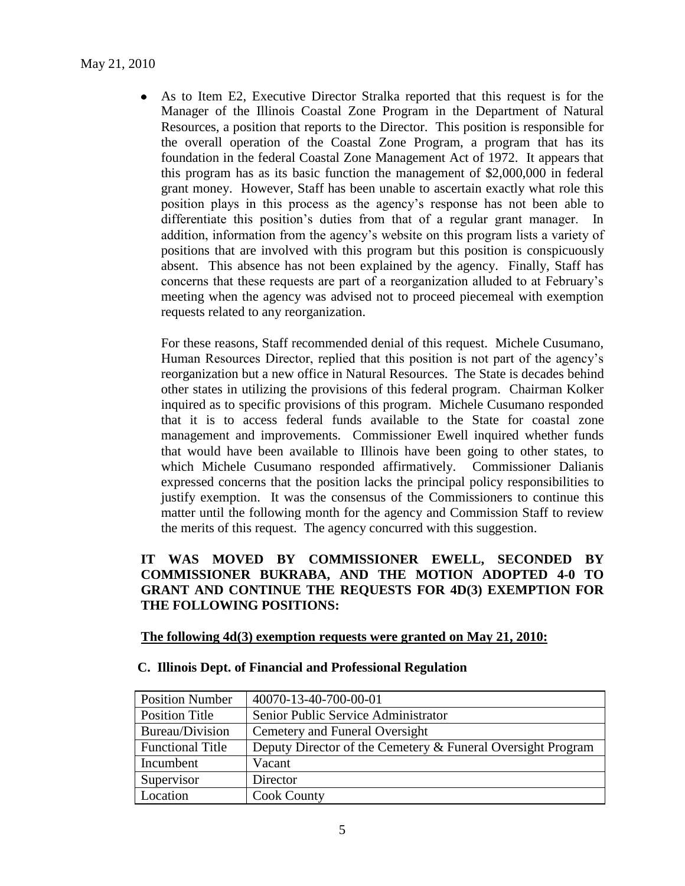As to Item E2, Executive Director Stralka reported that this request is for the  $\bullet$ Manager of the Illinois Coastal Zone Program in the Department of Natural Resources, a position that reports to the Director. This position is responsible for the overall operation of the Coastal Zone Program, a program that has its foundation in the federal Coastal Zone Management Act of 1972. It appears that this program has as its basic function the management of \$2,000,000 in federal grant money. However, Staff has been unable to ascertain exactly what role this position plays in this process as the agency"s response has not been able to differentiate this position"s duties from that of a regular grant manager. In addition, information from the agency"s website on this program lists a variety of positions that are involved with this program but this position is conspicuously absent. This absence has not been explained by the agency. Finally, Staff has concerns that these requests are part of a reorganization alluded to at February"s meeting when the agency was advised not to proceed piecemeal with exemption requests related to any reorganization.

For these reasons, Staff recommended denial of this request. Michele Cusumano, Human Resources Director, replied that this position is not part of the agency"s reorganization but a new office in Natural Resources. The State is decades behind other states in utilizing the provisions of this federal program. Chairman Kolker inquired as to specific provisions of this program. Michele Cusumano responded that it is to access federal funds available to the State for coastal zone management and improvements. Commissioner Ewell inquired whether funds that would have been available to Illinois have been going to other states, to which Michele Cusumano responded affirmatively. Commissioner Dalianis expressed concerns that the position lacks the principal policy responsibilities to justify exemption. It was the consensus of the Commissioners to continue this matter until the following month for the agency and Commission Staff to review the merits of this request. The agency concurred with this suggestion.

### **IT WAS MOVED BY COMMISSIONER EWELL, SECONDED BY COMMISSIONER BUKRABA, AND THE MOTION ADOPTED 4-0 TO GRANT AND CONTINUE THE REQUESTS FOR 4D(3) EXEMPTION FOR THE FOLLOWING POSITIONS:**

### **The following 4d(3) exemption requests were granted on May 21, 2010:**

#### **C. Illinois Dept. of Financial and Professional Regulation**

| <b>Position Number</b>  | 40070-13-40-700-00-01                                       |
|-------------------------|-------------------------------------------------------------|
| Position Title          | Senior Public Service Administrator                         |
| Bureau/Division         | Cemetery and Funeral Oversight                              |
| <b>Functional Title</b> | Deputy Director of the Cemetery & Funeral Oversight Program |
| Incumbent               | Vacant                                                      |
| Supervisor              | Director                                                    |
| Location                | <b>Cook County</b>                                          |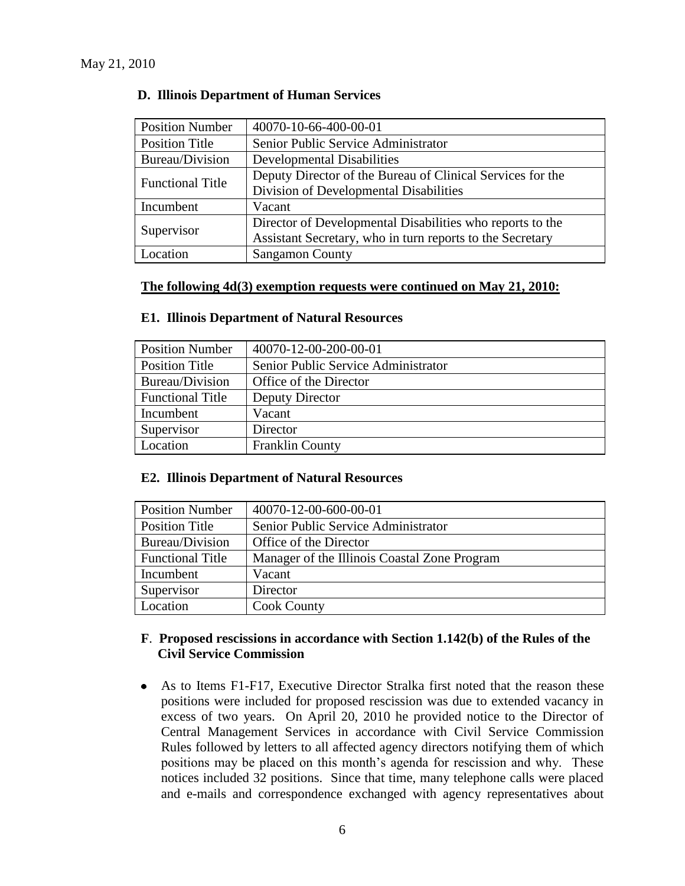| <b>Position Number</b>  | 40070-10-66-400-00-01                                      |
|-------------------------|------------------------------------------------------------|
| <b>Position Title</b>   | Senior Public Service Administrator                        |
| Bureau/Division         | <b>Developmental Disabilities</b>                          |
| <b>Functional Title</b> | Deputy Director of the Bureau of Clinical Services for the |
|                         | Division of Developmental Disabilities                     |
| Incumbent               | Vacant                                                     |
| Supervisor              | Director of Developmental Disabilities who reports to the  |
|                         | Assistant Secretary, who in turn reports to the Secretary  |
| Location                | <b>Sangamon County</b>                                     |

### **D. Illinois Department of Human Services**

#### **The following 4d(3) exemption requests were continued on May 21, 2010:**

| <b>Position Number</b>  | 40070-12-00-200-00-01               |  |
|-------------------------|-------------------------------------|--|
| Position Title          | Senior Public Service Administrator |  |
| Bureau/Division         | Office of the Director              |  |
| <b>Functional Title</b> | Deputy Director                     |  |
| Incumbent               | Vacant                              |  |
| Supervisor              | Director                            |  |
| Location                | <b>Franklin County</b>              |  |

#### **E1. Illinois Department of Natural Resources**

### **E2. Illinois Department of Natural Resources**

| <b>Position Number</b>  | 40070-12-00-600-00-01                        |  |
|-------------------------|----------------------------------------------|--|
| Position Title          | Senior Public Service Administrator          |  |
| Bureau/Division         | Office of the Director                       |  |
| <b>Functional Title</b> | Manager of the Illinois Coastal Zone Program |  |
| Incumbent               | Vacant                                       |  |
| Supervisor              | Director                                     |  |
| Location                | <b>Cook County</b>                           |  |

### **F**. **Proposed rescissions in accordance with Section 1.142(b) of the Rules of the Civil Service Commission**

As to Items F1-F17, Executive Director Stralka first noted that the reason these  $\bullet$ positions were included for proposed rescission was due to extended vacancy in excess of two years. On April 20, 2010 he provided notice to the Director of Central Management Services in accordance with Civil Service Commission Rules followed by letters to all affected agency directors notifying them of which positions may be placed on this month"s agenda for rescission and why. These notices included 32 positions. Since that time, many telephone calls were placed and e-mails and correspondence exchanged with agency representatives about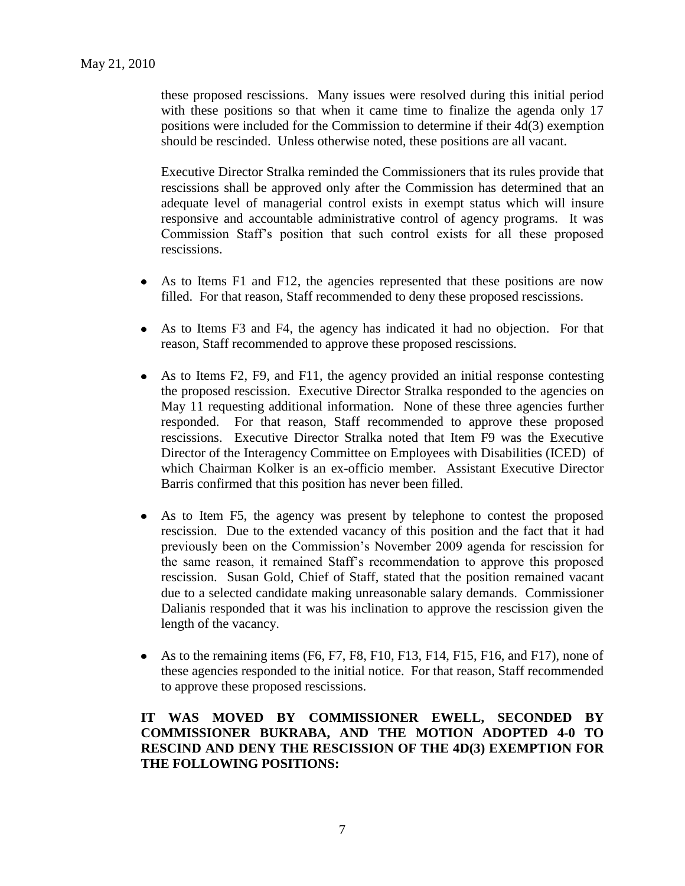these proposed rescissions. Many issues were resolved during this initial period with these positions so that when it came time to finalize the agenda only 17 positions were included for the Commission to determine if their 4d(3) exemption should be rescinded. Unless otherwise noted, these positions are all vacant.

Executive Director Stralka reminded the Commissioners that its rules provide that rescissions shall be approved only after the Commission has determined that an adequate level of managerial control exists in exempt status which will insure responsive and accountable administrative control of agency programs. It was Commission Staff"s position that such control exists for all these proposed rescissions.

- As to Items F1 and F12, the agencies represented that these positions are now filled. For that reason, Staff recommended to deny these proposed rescissions.
- As to Items F3 and F4, the agency has indicated it had no objection. For that  $\bullet$ reason, Staff recommended to approve these proposed rescissions.
- As to Items F2, F9, and F11, the agency provided an initial response contesting  $\bullet$ the proposed rescission. Executive Director Stralka responded to the agencies on May 11 requesting additional information. None of these three agencies further responded. For that reason, Staff recommended to approve these proposed rescissions. Executive Director Stralka noted that Item F9 was the Executive Director of the Interagency Committee on Employees with Disabilities (ICED) of which Chairman Kolker is an ex-officio member. Assistant Executive Director Barris confirmed that this position has never been filled.
- As to Item F5, the agency was present by telephone to contest the proposed  $\bullet$ rescission. Due to the extended vacancy of this position and the fact that it had previously been on the Commission"s November 2009 agenda for rescission for the same reason, it remained Staff"s recommendation to approve this proposed rescission. Susan Gold, Chief of Staff, stated that the position remained vacant due to a selected candidate making unreasonable salary demands. Commissioner Dalianis responded that it was his inclination to approve the rescission given the length of the vacancy.
- As to the remaining items  $(F6, F7, F8, F10, F13, F14, F15, F16, and F17)$ , none of these agencies responded to the initial notice. For that reason, Staff recommended to approve these proposed rescissions.

**IT WAS MOVED BY COMMISSIONER EWELL, SECONDED BY COMMISSIONER BUKRABA, AND THE MOTION ADOPTED 4-0 TO RESCIND AND DENY THE RESCISSION OF THE 4D(3) EXEMPTION FOR THE FOLLOWING POSITIONS:**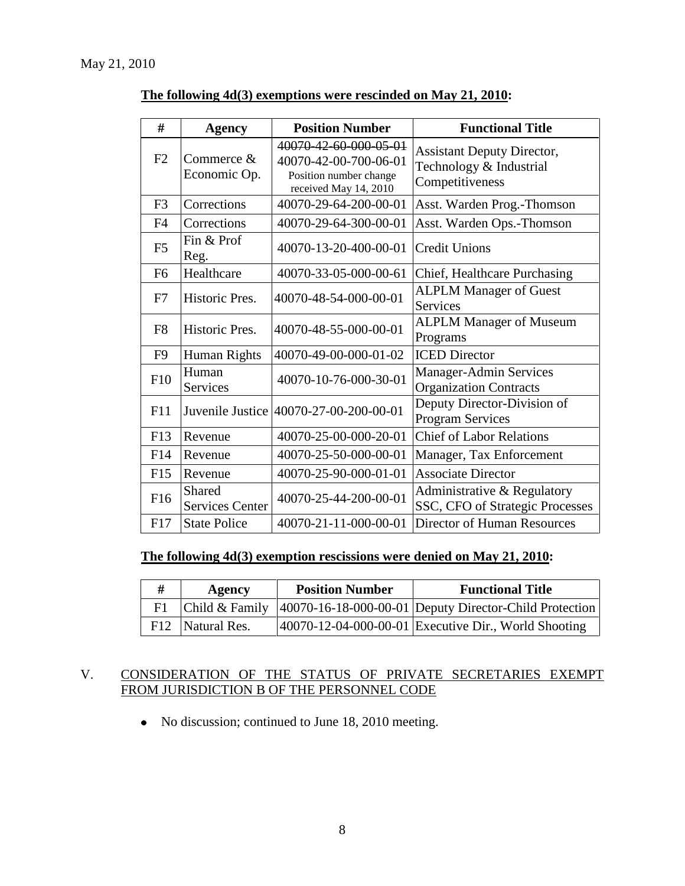| #              | <b>Agency</b>                           | <b>Position Number</b>                                                                            | <b>Functional Title</b>                                                         |
|----------------|-----------------------------------------|---------------------------------------------------------------------------------------------------|---------------------------------------------------------------------------------|
| F2             | Commerce &<br>Economic Op.              | 40070-42-60-000-05-01<br>40070-42-00-700-06-01<br>Position number change<br>received May 14, 2010 | <b>Assistant Deputy Director,</b><br>Technology & Industrial<br>Competitiveness |
| F <sub>3</sub> | Corrections                             | 40070-29-64-200-00-01                                                                             | Asst. Warden Prog.-Thomson                                                      |
| F <sub>4</sub> | Corrections                             | 40070-29-64-300-00-01                                                                             | Asst. Warden Ops.-Thomson                                                       |
| F <sub>5</sub> | Fin & Prof<br>Reg.                      | 40070-13-20-400-00-01                                                                             | <b>Credit Unions</b>                                                            |
| F <sub>6</sub> | Healthcare                              | 40070-33-05-000-00-61                                                                             | Chief, Healthcare Purchasing                                                    |
| F7             | Historic Pres.                          | 40070-48-54-000-00-01                                                                             | <b>ALPLM Manager of Guest</b><br><b>Services</b>                                |
| F <sub>8</sub> | Historic Pres.                          | 40070-48-55-000-00-01                                                                             | <b>ALPLM Manager of Museum</b><br>Programs                                      |
| F <sub>9</sub> | Human Rights                            | 40070-49-00-000-01-02                                                                             | <b>ICED</b> Director                                                            |
| F10            | Human<br><b>Services</b>                | 40070-10-76-000-30-01                                                                             | <b>Manager-Admin Services</b><br><b>Organization Contracts</b>                  |
| F11            |                                         | Juvenile Justice 40070-27-00-200-00-01                                                            | Deputy Director-Division of<br><b>Program Services</b>                          |
| F13            | Revenue                                 | 40070-25-00-000-20-01                                                                             | <b>Chief of Labor Relations</b>                                                 |
| F14            | Revenue                                 | 40070-25-50-000-00-01                                                                             | Manager, Tax Enforcement                                                        |
| F15            | Revenue                                 | 40070-25-90-000-01-01                                                                             | <b>Associate Director</b>                                                       |
| F16            | <b>Shared</b><br><b>Services Center</b> | 40070-25-44-200-00-01                                                                             | Administrative & Regulatory<br>SSC, CFO of Strategic Processes                  |
| F17            | <b>State Police</b>                     | 40070-21-11-000-00-01                                                                             | <b>Director of Human Resources</b>                                              |

### **The following 4d(3) exemptions were rescinded on May 21, 2010:**

### **The following 4d(3) exemption rescissions were denied on May 21, 2010:**

| # | Agency           | <b>Position Number</b> | <b>Functional Title</b>                                                        |
|---|------------------|------------------------|--------------------------------------------------------------------------------|
|   |                  |                        | F1   Child & Family   40070-16-18-000-00-01   Deputy Director-Child Protection |
|   | F12 Natural Res. |                        | $ 40070-12-04-000-00-01 $ Executive Dir., World Shooting                       |

## V. CONSIDERATION OF THE STATUS OF PRIVATE SECRETARIES EXEMPT FROM JURISDICTION B OF THE PERSONNEL CODE

• No discussion; continued to June 18, 2010 meeting.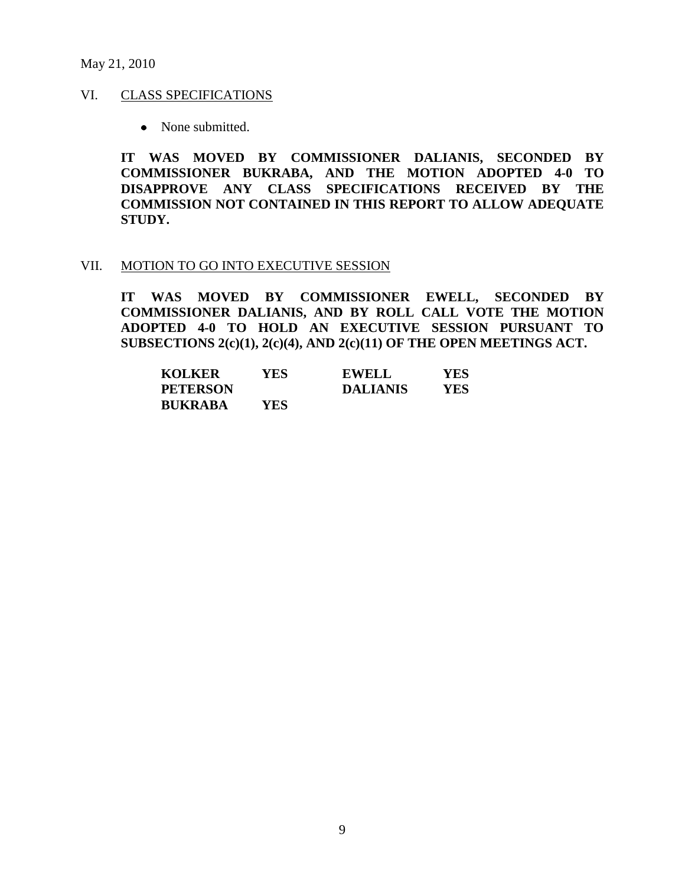#### May 21, 2010

#### VI. CLASS SPECIFICATIONS

• None submitted.

**IT WAS MOVED BY COMMISSIONER DALIANIS, SECONDED BY COMMISSIONER BUKRABA, AND THE MOTION ADOPTED 4-0 TO DISAPPROVE ANY CLASS SPECIFICATIONS RECEIVED BY THE COMMISSION NOT CONTAINED IN THIS REPORT TO ALLOW ADEQUATE STUDY.** 

#### VII. MOTION TO GO INTO EXECUTIVE SESSION

**IT WAS MOVED BY COMMISSIONER EWELL, SECONDED BY COMMISSIONER DALIANIS, AND BY ROLL CALL VOTE THE MOTION ADOPTED 4-0 TO HOLD AN EXECUTIVE SESSION PURSUANT TO SUBSECTIONS 2(c)(1), 2(c)(4), AND 2(c)(11) OF THE OPEN MEETINGS ACT.** 

| <b>KOLKER</b>   | YES  | <b>EWELL</b>    | YES |
|-----------------|------|-----------------|-----|
| <b>PETERSON</b> |      | <b>DALIANIS</b> | YES |
| <b>BUKRABA</b>  | YES. |                 |     |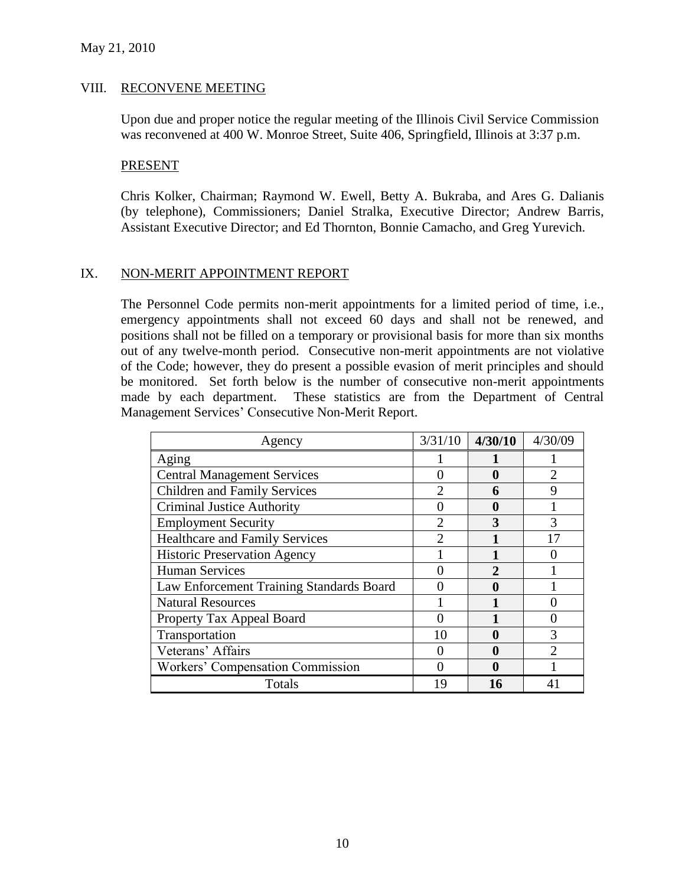#### VIII. RECONVENE MEETING

Upon due and proper notice the regular meeting of the Illinois Civil Service Commission was reconvened at 400 W. Monroe Street, Suite 406, Springfield, Illinois at 3:37 p.m.

#### PRESENT

Chris Kolker, Chairman; Raymond W. Ewell, Betty A. Bukraba, and Ares G. Dalianis (by telephone), Commissioners; Daniel Stralka, Executive Director; Andrew Barris, Assistant Executive Director; and Ed Thornton, Bonnie Camacho, and Greg Yurevich.

### IX. NON-MERIT APPOINTMENT REPORT

The Personnel Code permits non-merit appointments for a limited period of time, i.e., emergency appointments shall not exceed 60 days and shall not be renewed, and positions shall not be filled on a temporary or provisional basis for more than six months out of any twelve-month period. Consecutive non-merit appointments are not violative of the Code; however, they do present a possible evasion of merit principles and should be monitored. Set forth below is the number of consecutive non-merit appointments made by each department. These statistics are from the Department of Central Management Services" Consecutive Non-Merit Report.

| Agency                                   | 3/31/10        | 4/30/10                     | 4/30/09                     |
|------------------------------------------|----------------|-----------------------------|-----------------------------|
| Aging                                    |                |                             |                             |
| <b>Central Management Services</b>       | 1              |                             | $\mathcal{D}_{\mathcal{A}}$ |
| <b>Children and Family Services</b>      | $\overline{2}$ | 6                           | $\mathbf Q$                 |
| <b>Criminal Justice Authority</b>        |                |                             |                             |
| <b>Employment Security</b>               | $\overline{2}$ | 3                           | 3                           |
| <b>Healthcare and Family Services</b>    | $\mathfrak{D}$ |                             | 17                          |
| <b>Historic Preservation Agency</b>      |                |                             |                             |
| <b>Human Services</b>                    |                | $\mathcal{D}_{\mathcal{A}}$ |                             |
| Law Enforcement Training Standards Board |                |                             |                             |
| <b>Natural Resources</b>                 |                |                             |                             |
| Property Tax Appeal Board                |                |                             |                             |
| Transportation                           | 10             |                             | 3                           |
| Veterans' Affairs                        |                |                             | っ                           |
| <b>Workers' Compensation Commission</b>  |                |                             |                             |
| Totals                                   | 19             | 16                          |                             |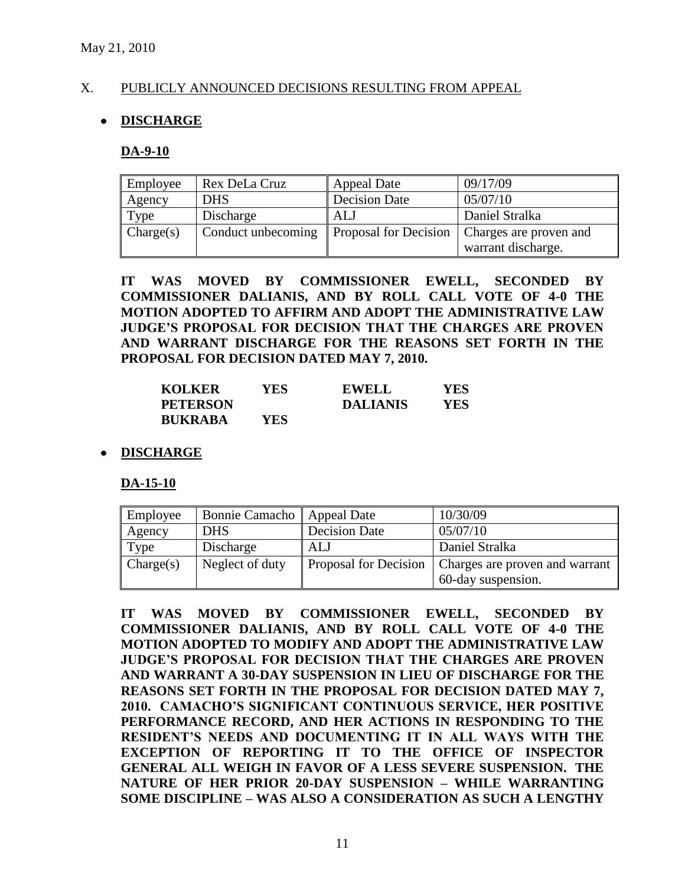### X. PUBLICLY ANNOUNCED DECISIONS RESULTING FROM APPEAL

### **DISCHARGE**

#### **DA-9-10**

| Employee  | Rex DeLa Cruz                              | <b>Appeal Date</b>   | 09/17/09               |
|-----------|--------------------------------------------|----------------------|------------------------|
| Agency    | <b>DHS</b>                                 | <b>Decision Date</b> | 05/07/10               |
| Type      | Discharge                                  | ALJ                  | Daniel Stralka         |
| Change(s) | Conduct unbecoming   Proposal for Decision |                      | Charges are proven and |
|           |                                            |                      | warrant discharge.     |

**IT WAS MOVED BY COMMISSIONER EWELL, SECONDED BY COMMISSIONER DALIANIS, AND BY ROLL CALL VOTE OF 4-0 THE MOTION ADOPTED TO AFFIRM AND ADOPT THE ADMINISTRATIVE LAW JUDGE'S PROPOSAL FOR DECISION THAT THE CHARGES ARE PROVEN AND WARRANT DISCHARGE FOR THE REASONS SET FORTH IN THE PROPOSAL FOR DECISION DATED MAY 7, 2010.**

| <b>KOLKER</b>   | YES.  | <b>EWELL</b>    | YES |
|-----------------|-------|-----------------|-----|
| <b>PETERSON</b> |       | <b>DALIANIS</b> | YES |
| <b>BUKRABA</b>  | YES . |                 |     |

### **DISCHARGE**

**DA-15-10**

| Employee  | Bonnie Camacho  | <b>Appeal Date</b>    | 10/30/09                       |
|-----------|-----------------|-----------------------|--------------------------------|
| Agency    | <b>DHS</b>      | <b>Decision Date</b>  | 05/07/10                       |
| Type      | Discharge       | AL J                  | Daniel Stralka                 |
| Change(s) | Neglect of duty | Proposal for Decision | Charges are proven and warrant |
|           |                 |                       | 60-day suspension.             |

**IT WAS MOVED BY COMMISSIONER EWELL, SECONDED BY COMMISSIONER DALIANIS, AND BY ROLL CALL VOTE OF 4-0 THE MOTION ADOPTED TO MODIFY AND ADOPT THE ADMINISTRATIVE LAW JUDGE'S PROPOSAL FOR DECISION THAT THE CHARGES ARE PROVEN AND WARRANT A 30-DAY SUSPENSION IN LIEU OF DISCHARGE FOR THE REASONS SET FORTH IN THE PROPOSAL FOR DECISION DATED MAY 7, 2010. CAMACHO'S SIGNIFICANT CONTINUOUS SERVICE, HER POSITIVE PERFORMANCE RECORD, AND HER ACTIONS IN RESPONDING TO THE RESIDENT'S NEEDS AND DOCUMENTING IT IN ALL WAYS WITH THE EXCEPTION OF REPORTING IT TO THE OFFICE OF INSPECTOR GENERAL ALL WEIGH IN FAVOR OF A LESS SEVERE SUSPENSION. THE NATURE OF HER PRIOR 20-DAY SUSPENSION – WHILE WARRANTING SOME DISCIPLINE – WAS ALSO A CONSIDERATION AS SUCH A LENGTHY**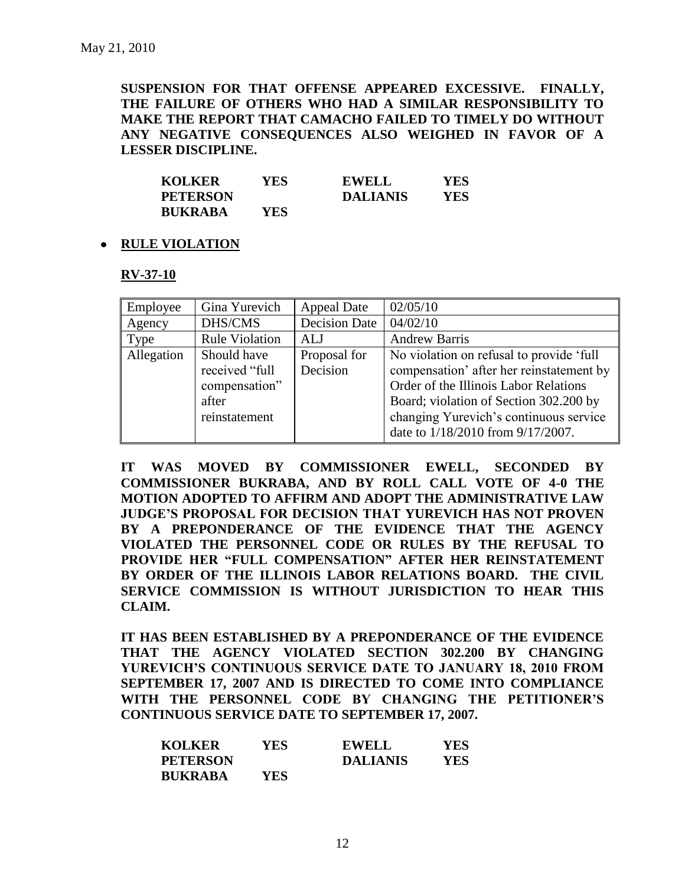**SUSPENSION FOR THAT OFFENSE APPEARED EXCESSIVE. FINALLY, THE FAILURE OF OTHERS WHO HAD A SIMILAR RESPONSIBILITY TO MAKE THE REPORT THAT CAMACHO FAILED TO TIMELY DO WITHOUT ANY NEGATIVE CONSEQUENCES ALSO WEIGHED IN FAVOR OF A LESSER DISCIPLINE.**

| <b>KOLKER</b>   | YES. | <b>EWELL</b>    | YES |
|-----------------|------|-----------------|-----|
| <b>PETERSON</b> |      | <b>DALIANIS</b> | YES |
| <b>BUKRABA</b>  | YES. |                 |     |

### **RULE VIOLATION**

### **RV-37-10**

| Employee   | Gina Yurevich                                                            | <b>Appeal Date</b>       | 02/05/10                                                                                                                                                                                                                                               |
|------------|--------------------------------------------------------------------------|--------------------------|--------------------------------------------------------------------------------------------------------------------------------------------------------------------------------------------------------------------------------------------------------|
| Agency     | DHS/CMS                                                                  | <b>Decision Date</b>     | 04/02/10                                                                                                                                                                                                                                               |
| Type       | <b>Rule Violation</b>                                                    | ALJ                      | <b>Andrew Barris</b>                                                                                                                                                                                                                                   |
| Allegation | Should have<br>received "full<br>compensation"<br>after<br>reinstatement | Proposal for<br>Decision | No violation on refusal to provide 'full<br>compensation' after her reinstatement by<br>Order of the Illinois Labor Relations<br>Board; violation of Section 302.200 by<br>changing Yurevich's continuous service<br>date to 1/18/2010 from 9/17/2007. |

**IT WAS MOVED BY COMMISSIONER EWELL, SECONDED BY COMMISSIONER BUKRABA, AND BY ROLL CALL VOTE OF 4-0 THE MOTION ADOPTED TO AFFIRM AND ADOPT THE ADMINISTRATIVE LAW JUDGE'S PROPOSAL FOR DECISION THAT YUREVICH HAS NOT PROVEN BY A PREPONDERANCE OF THE EVIDENCE THAT THE AGENCY VIOLATED THE PERSONNEL CODE OR RULES BY THE REFUSAL TO PROVIDE HER "FULL COMPENSATION" AFTER HER REINSTATEMENT BY ORDER OF THE ILLINOIS LABOR RELATIONS BOARD. THE CIVIL SERVICE COMMISSION IS WITHOUT JURISDICTION TO HEAR THIS CLAIM.** 

**IT HAS BEEN ESTABLISHED BY A PREPONDERANCE OF THE EVIDENCE THAT THE AGENCY VIOLATED SECTION 302.200 BY CHANGING YUREVICH'S CONTINUOUS SERVICE DATE TO JANUARY 18, 2010 FROM SEPTEMBER 17, 2007 AND IS DIRECTED TO COME INTO COMPLIANCE WITH THE PERSONNEL CODE BY CHANGING THE PETITIONER'S CONTINUOUS SERVICE DATE TO SEPTEMBER 17, 2007.**

| <b>KOLKER</b>   | YES        | <b>EWELL</b>    | YES. |
|-----------------|------------|-----------------|------|
| <b>PETERSON</b> |            | <b>DALIANIS</b> | YES  |
| <b>BUKRABA</b>  | <b>YES</b> |                 |      |